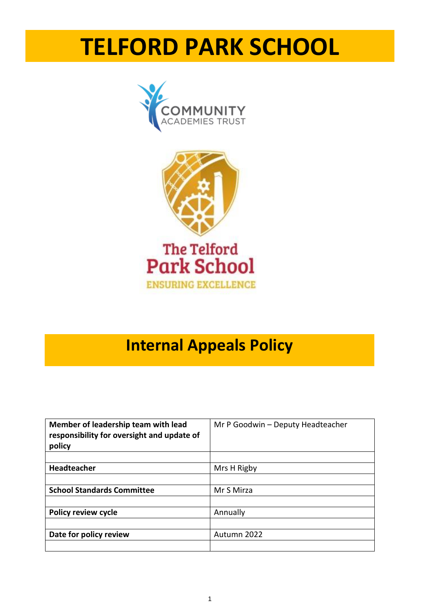# **TELFORD PARK SCHOOL**





# **Internal Appeals Policy**

| Member of leadership team with lead<br>responsibility for oversight and update of<br>policy | Mr P Goodwin - Deputy Headteacher |  |  |
|---------------------------------------------------------------------------------------------|-----------------------------------|--|--|
|                                                                                             |                                   |  |  |
| <b>Headteacher</b>                                                                          | Mrs H Rigby                       |  |  |
|                                                                                             |                                   |  |  |
| <b>School Standards Committee</b>                                                           | Mr S Mirza                        |  |  |
|                                                                                             |                                   |  |  |
| <b>Policy review cycle</b>                                                                  | Annually                          |  |  |
|                                                                                             |                                   |  |  |
| Date for policy review                                                                      | Autumn 2022                       |  |  |
|                                                                                             |                                   |  |  |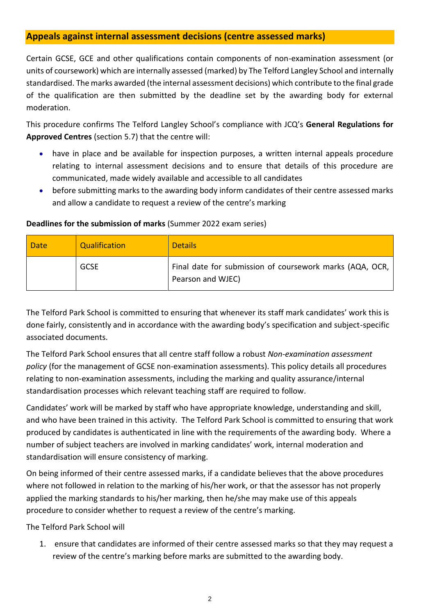#### **Appeals against internal assessment decisions (centre assessed marks)**

Certain GCSE, GCE and other qualifications contain components of non-examination assessment (or units of coursework) which are internally assessed (marked) by The Telford Langley School and internally standardised. The marks awarded (the internal assessment decisions) which contribute to the final grade of the qualification are then submitted by the deadline set by the awarding body for external moderation.

This procedure confirms The Telford Langley School's compliance with JCQ's **General Regulations for Approved Centres** (section 5.7) that the centre will:

- have in place and be available for inspection purposes, a written internal appeals procedure relating to internal assessment decisions and to ensure that details of this procedure are communicated, made widely available and accessible to all candidates
- before submitting marks to the awarding body inform candidates of their centre assessed marks and allow a candidate to request a review of the centre's marking

| Date | Qualification | <b>Details</b>                                                                |
|------|---------------|-------------------------------------------------------------------------------|
|      | <b>GCSE</b>   | Final date for submission of coursework marks (AQA, OCR,<br>Pearson and WJEC) |

#### **Deadlines for the submission of marks** (Summer 2022 exam series)

The Telford Park School is committed to ensuring that whenever its staff mark candidates' work this is done fairly, consistently and in accordance with the awarding body's specification and subject-specific associated documents.

The Telford Park School ensures that all centre staff follow a robust *Non-examination assessment policy* (for the management of GCSE non-examination assessments). This policy details all procedures relating to non-examination assessments, including the marking and quality assurance/internal standardisation processes which relevant teaching staff are required to follow.

Candidates' work will be marked by staff who have appropriate knowledge, understanding and skill, and who have been trained in this activity. The Telford Park School is committed to ensuring that work produced by candidates is authenticated in line with the requirements of the awarding body. Where a number of subject teachers are involved in marking candidates' work, internal moderation and standardisation will ensure consistency of marking.

On being informed of their centre assessed marks, if a candidate believes that the above procedures where not followed in relation to the marking of his/her work, or that the assessor has not properly applied the marking standards to his/her marking, then he/she may make use of this appeals procedure to consider whether to request a review of the centre's marking.

The Telford Park School will

1. ensure that candidates are informed of their centre assessed marks so that they may request a review of the centre's marking before marks are submitted to the awarding body.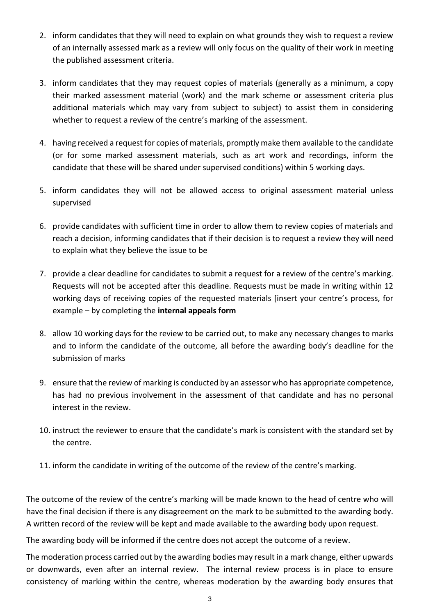- 2. inform candidates that they will need to explain on what grounds they wish to request a review of an internally assessed mark as a review will only focus on the quality of their work in meeting the published assessment criteria.
- 3. inform candidates that they may request copies of materials (generally as a minimum, a copy their marked assessment material (work) and the mark scheme or assessment criteria plus additional materials which may vary from subject to subject) to assist them in considering whether to request a review of the centre's marking of the assessment.
- 4. having received a request for copies of materials, promptly make them available to the candidate (or for some marked assessment materials, such as art work and recordings, inform the candidate that these will be shared under supervised conditions) within 5 working days.
- 5. inform candidates they will not be allowed access to original assessment material unless supervised
- 6. provide candidates with sufficient time in order to allow them to review copies of materials and reach a decision, informing candidates that if their decision is to request a review they will need to explain what they believe the issue to be
- 7. provide a clear deadline for candidates to submit a request for a review of the centre's marking. Requests will not be accepted after this deadline. Requests must be made in writing within 12 working days of receiving copies of the requested materials [insert your centre's process, for example – by completing the **internal appeals form**
- 8. allow 10 working days for the review to be carried out, to make any necessary changes to marks and to inform the candidate of the outcome, all before the awarding body's deadline for the submission of marks
- 9. ensure that the review of marking is conducted by an assessor who has appropriate competence, has had no previous involvement in the assessment of that candidate and has no personal interest in the review.
- 10. instruct the reviewer to ensure that the candidate's mark is consistent with the standard set by the centre.
- 11. inform the candidate in writing of the outcome of the review of the centre's marking.

The outcome of the review of the centre's marking will be made known to the head of centre who will have the final decision if there is any disagreement on the mark to be submitted to the awarding body. A written record of the review will be kept and made available to the awarding body upon request.

The awarding body will be informed if the centre does not accept the outcome of a review.

The moderation process carried out by the awarding bodies may result in a mark change, either upwards or downwards, even after an internal review. The internal review process is in place to ensure consistency of marking within the centre, whereas moderation by the awarding body ensures that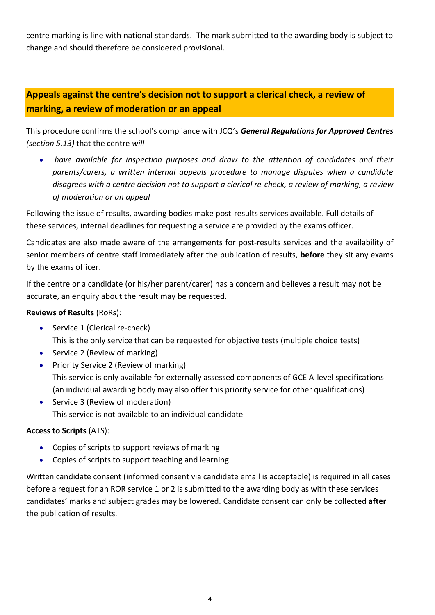centre marking is line with national standards. The mark submitted to the awarding body is subject to change and should therefore be considered provisional.

## **Appeals against the centre's decision not to support a clerical check, a review of marking, a review of moderation or an appeal**

This procedure confirms the school's compliance with JCQ's *General Regulations for Approved Centres (section 5.13)* that the centre *will*

• *have available for inspection purposes and draw to the attention of candidates and their parents/carers, a written internal appeals procedure to manage disputes when a candidate disagrees with a centre decision not to support a clerical re-check, a review of marking, a review of moderation or an appeal*

Following the issue of results, awarding bodies make post-results services available. Full details of these services, internal deadlines for requesting a service are provided by the exams officer.

Candidates are also made aware of the arrangements for post-results services and the availability of senior members of centre staff immediately after the publication of results, **before** they sit any exams by the exams officer.

If the centre or a candidate (or his/her parent/carer) has a concern and believes a result may not be accurate, an enquiry about the result may be requested.

#### **Reviews of Results** (RoRs):

- Service 1 (Clerical re-check) This is the only service that can be requested for objective tests (multiple choice tests)
- Service 2 (Review of marking)
- Priority Service 2 (Review of marking) This service is only available for externally assessed components of GCE A-level specifications (an individual awarding body may also offer this priority service for other qualifications)
- Service 3 (Review of moderation) This service is not available to an individual candidate

#### **Access to Scripts** (ATS):

- Copies of scripts to support reviews of marking
- Copies of scripts to support teaching and learning

Written candidate consent (informed consent via candidate email is acceptable) is required in all cases before a request for an ROR service 1 or 2 is submitted to the awarding body as with these services candidates' marks and subject grades may be lowered. Candidate consent can only be collected **after** the publication of results.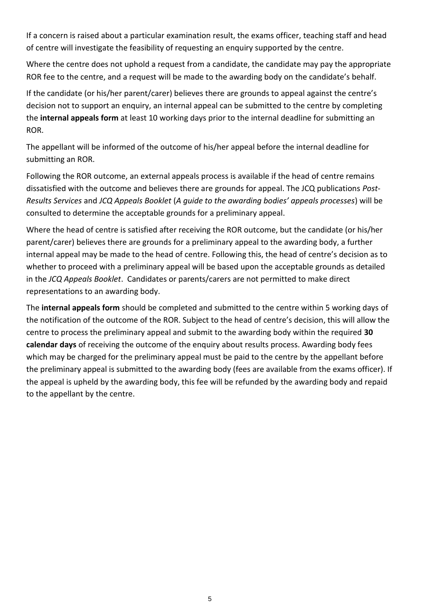If a concern is raised about a particular examination result, the exams officer, teaching staff and head of centre will investigate the feasibility of requesting an enquiry supported by the centre.

Where the centre does not uphold a request from a candidate, the candidate may pay the appropriate ROR fee to the centre, and a request will be made to the awarding body on the candidate's behalf.

If the candidate (or his/her parent/carer) believes there are grounds to appeal against the centre's decision not to support an enquiry, an internal appeal can be submitted to the centre by completing the **internal appeals form** at least 10 working days prior to the internal deadline for submitting an ROR.

The appellant will be informed of the outcome of his/her appeal before the internal deadline for submitting an ROR.

Following the ROR outcome, an external appeals process is available if the head of centre remains dissatisfied with the outcome and believes there are grounds for appeal. The JCQ publications *Post-Results Services* and *JCQ Appeals Booklet* (*A guide to the awarding bodies' appeals processes*) will be consulted to determine the acceptable grounds for a preliminary appeal.

Where the head of centre is satisfied after receiving the ROR outcome, but the candidate (or his/her parent/carer) believes there are grounds for a preliminary appeal to the awarding body, a further internal appeal may be made to the head of centre. Following this, the head of centre's decision as to whether to proceed with a preliminary appeal will be based upon the acceptable grounds as detailed in the *JCQ Appeals Booklet*. Candidates or parents/carers are not permitted to make direct representations to an awarding body.

The **internal appeals form** should be completed and submitted to the centre within 5 working days of the notification of the outcome of the ROR. Subject to the head of centre's decision, this will allow the centre to process the preliminary appeal and submit to the awarding body within the required **30 calendar days** of receiving the outcome of the enquiry about results process. Awarding body fees which may be charged for the preliminary appeal must be paid to the centre by the appellant before the preliminary appeal is submitted to the awarding body (fees are available from the exams officer). If the appeal is upheld by the awarding body, this fee will be refunded by the awarding body and repaid to the appellant by the centre.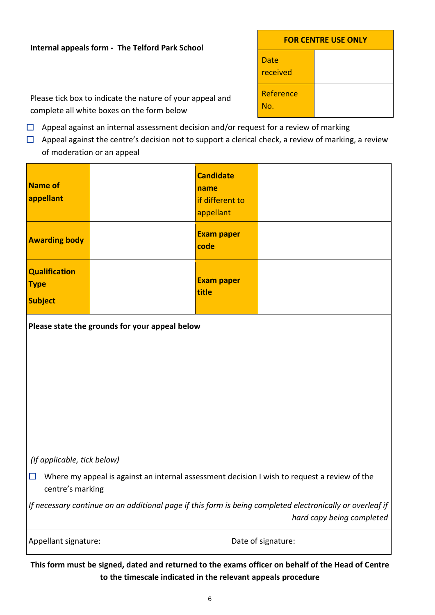#### **Internal appeals form - The Telford Park School**

| <b>FOR CENTRE USE ONLY</b> |  |  |
|----------------------------|--|--|
| Date<br>received           |  |  |
| Reference<br>No.           |  |  |

Please tick box to indicate the nature of your appeal and complete all white boxes on the form below

- $\Box$  Appeal against an internal assessment decision and/or request for a review of marking
- $\Box$  Appeal against the centre's decision not to support a clerical check, a review of marking, a review of moderation or an appeal

| Name of<br>appellant                                  |  | <b>Candidate</b><br>name<br>if different to<br>appellant |  |
|-------------------------------------------------------|--|----------------------------------------------------------|--|
| <b>Awarding body</b>                                  |  | <b>Exam paper</b><br>code                                |  |
| <b>Qualification</b><br><b>Type</b><br><b>Subject</b> |  | <b>Exam paper</b><br>title                               |  |
| Please state the grounds for your appeal below        |  |                                                          |  |

#### *(If applicable, tick below)*

 $\Box$  Where my appeal is against an internal assessment decision I wish to request a review of the centre's marking

*If necessary continue on an additional page if this form is being completed electronically or overleaf if hard copy being completed*

|  | Appellant signature: |
|--|----------------------|
|--|----------------------|

Date of signature:

**This form must be signed, dated and returned to the exams officer on behalf of the Head of Centre to the timescale indicated in the relevant appeals procedure**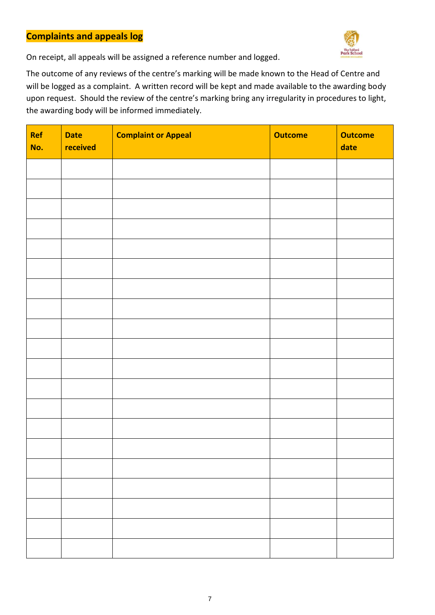### **Complaints and appeals log**



On receipt, all appeals will be assigned a reference number and logged.

The outcome of any reviews of the centre's marking will be made known to the Head of Centre and will be logged as a complaint. A written record will be kept and made available to the awarding body upon request. Should the review of the centre's marking bring any irregularity in procedures to light, the awarding body will be informed immediately.

| Ref<br>No. | <b>Date</b><br>received | <b>Complaint or Appeal</b> | <b>Outcome</b> | <b>Outcome</b><br>date |
|------------|-------------------------|----------------------------|----------------|------------------------|
|            |                         |                            |                |                        |
|            |                         |                            |                |                        |
|            |                         |                            |                |                        |
|            |                         |                            |                |                        |
|            |                         |                            |                |                        |
|            |                         |                            |                |                        |
|            |                         |                            |                |                        |
|            |                         |                            |                |                        |
|            |                         |                            |                |                        |
|            |                         |                            |                |                        |
|            |                         |                            |                |                        |
|            |                         |                            |                |                        |
|            |                         |                            |                |                        |
|            |                         |                            |                |                        |
|            |                         |                            |                |                        |
|            |                         |                            |                |                        |
|            |                         |                            |                |                        |
|            |                         |                            |                |                        |
|            |                         |                            |                |                        |
|            |                         |                            |                |                        |